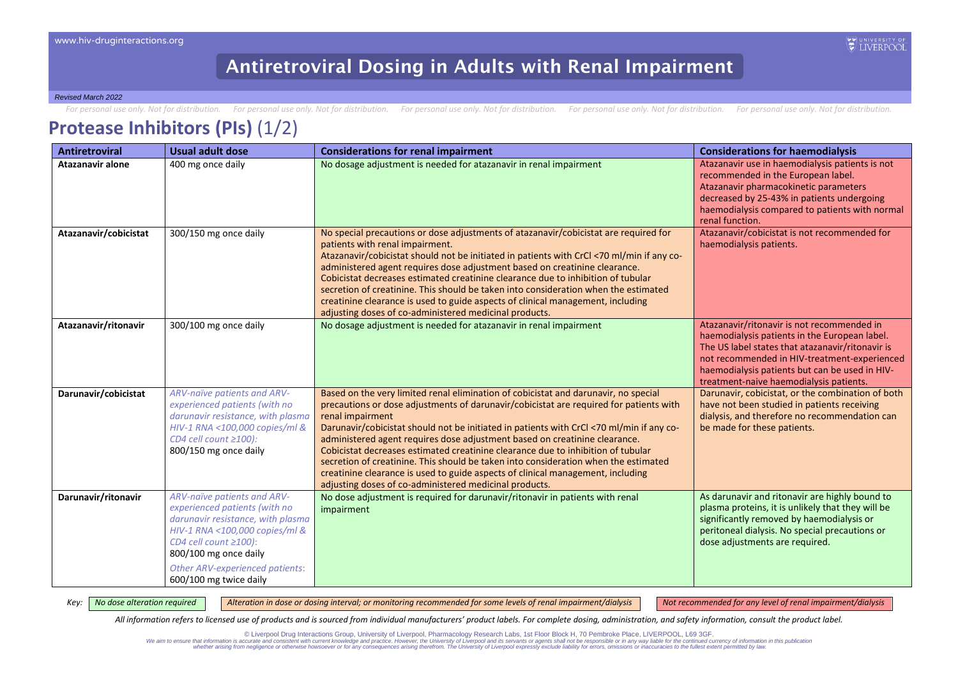For personal use only. Not for distribution. For personal use only. Not for distribution. For personal use only. Not for distribution. For personal use only. Not for distribution. For personal use only. Not for distributio

### **Protease Inhibitors (PIs)** (1/2)

| <b>Antiretroviral</b>   | Usual adult dose                                                                                                                                                                                                                                         | <b>Considerations for renal impairment</b>                                                                                                                                                                                                                                                                                                                                                                                                                                                                                                                                                                                                                                                          | <b>Considerations for haemodialysis</b>                                                                                                                                                                                                                                                      |
|-------------------------|----------------------------------------------------------------------------------------------------------------------------------------------------------------------------------------------------------------------------------------------------------|-----------------------------------------------------------------------------------------------------------------------------------------------------------------------------------------------------------------------------------------------------------------------------------------------------------------------------------------------------------------------------------------------------------------------------------------------------------------------------------------------------------------------------------------------------------------------------------------------------------------------------------------------------------------------------------------------------|----------------------------------------------------------------------------------------------------------------------------------------------------------------------------------------------------------------------------------------------------------------------------------------------|
| <b>Atazanavir alone</b> | 400 mg once daily                                                                                                                                                                                                                                        | No dosage adjustment is needed for atazanavir in renal impairment                                                                                                                                                                                                                                                                                                                                                                                                                                                                                                                                                                                                                                   | Atazanavir use in haemodialysis patients is not<br>recommended in the European label.<br>Atazanavir pharmacokinetic parameters<br>decreased by 25-43% in patients undergoing<br>haemodialysis compared to patients with normal<br>renal function.                                            |
| Atazanavir/cobicistat   | 300/150 mg once daily                                                                                                                                                                                                                                    | No special precautions or dose adjustments of atazanavir/cobicistat are required for<br>patients with renal impairment.<br>Atazanavir/cobicistat should not be initiated in patients with CrCl <70 ml/min if any co-<br>administered agent requires dose adjustment based on creatinine clearance.<br>Cobicistat decreases estimated creatinine clearance due to inhibition of tubular<br>secretion of creatinine. This should be taken into consideration when the estimated<br>creatinine clearance is used to guide aspects of clinical management, including<br>adjusting doses of co-administered medicinal products.                                                                          | Atazanavir/cobicistat is not recommended for<br>haemodialysis patients.                                                                                                                                                                                                                      |
| Atazanavir/ritonavir    | 300/100 mg once daily                                                                                                                                                                                                                                    | No dosage adjustment is needed for atazanavir in renal impairment                                                                                                                                                                                                                                                                                                                                                                                                                                                                                                                                                                                                                                   | Atazanavir/ritonavir is not recommended in<br>haemodialysis patients in the European label.<br>The US label states that atazanavir/ritonavir is<br>not recommended in HIV-treatment-experienced<br>haemodialysis patients but can be used in HIV-<br>treatment-naive haemodialysis patients. |
| Darunavir/cobicistat    | ARV-naïve patients and ARV-<br>experienced patients (with no<br>darunavir resistance, with plasma<br>HIV-1 RNA <100,000 copies/ml &<br>CD4 cell count $\geq$ 100):<br>800/150 mg once daily                                                              | Based on the very limited renal elimination of cobicistat and darunavir, no special<br>precautions or dose adjustments of darunavir/cobicistat are required for patients with<br>renal impairment<br>Darunavir/cobicistat should not be initiated in patients with CrCl <70 ml/min if any co-<br>administered agent requires dose adjustment based on creatinine clearance.<br>Cobicistat decreases estimated creatinine clearance due to inhibition of tubular<br>secretion of creatinine. This should be taken into consideration when the estimated<br>creatinine clearance is used to guide aspects of clinical management, including<br>adjusting doses of co-administered medicinal products. | Darunavir, cobicistat, or the combination of both<br>have not been studied in patients receiving<br>dialysis, and therefore no recommendation can<br>be made for these patients.                                                                                                             |
| Darunavir/ritonavir     | ARV-naïve patients and ARV-<br>experienced patients (with no<br>darunavir resistance, with plasma<br>HIV-1 RNA <100,000 copies/ml &<br>CD4 cell count $\geq$ 100):<br>800/100 mg once daily<br>Other ARV-experienced patients:<br>600/100 mg twice daily | No dose adjustment is required for darunavir/ritonavir in patients with renal<br>impairment                                                                                                                                                                                                                                                                                                                                                                                                                                                                                                                                                                                                         | As darunavir and ritonavir are highly bound to<br>plasma proteins, it is unlikely that they will be<br>significantly removed by haemodialysis or<br>peritoneal dialysis. No special precautions or<br>dose adjustments are required.                                                         |

Key: | No dose alteration required | Alteration in dose or dosing interval; or monitoring recommended for some levels of renal impairment/dialysis | Not recommended for any level of renal impairment/dialysis

*All information refers to licensed use of products and is sourced from individual manufacturers' product labels. For complete dosing, administration, and safety information, consult the product label.*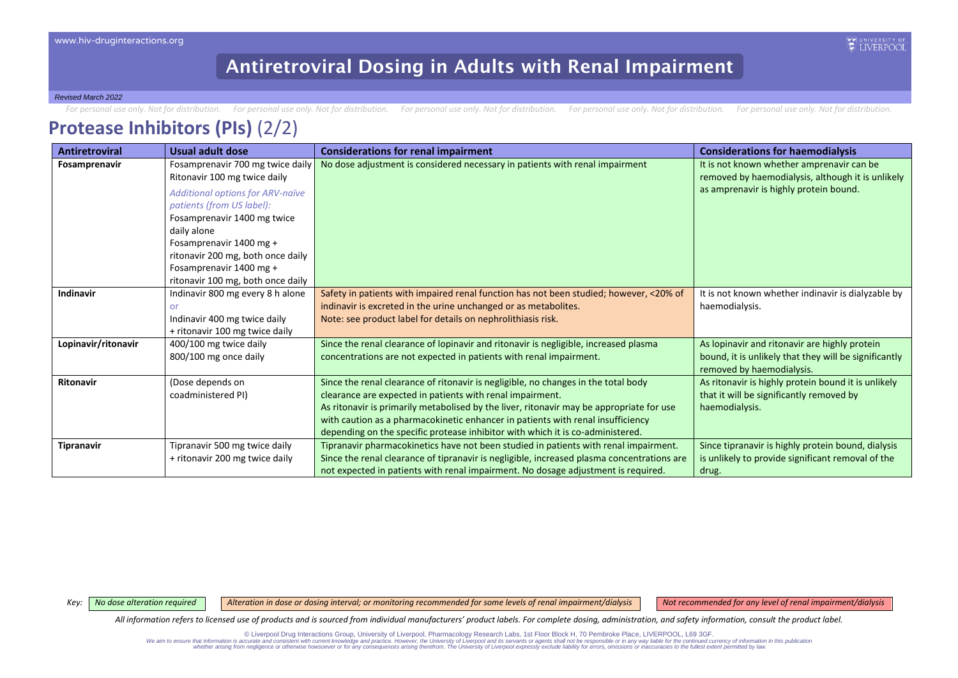*Revised March 2022*

For personal use only. Not for distribution. For personal use only. Not for distribution. For personal use only. Not for distribution. For personal use only. Not for distribution. For personal use only. Not for distributio

## **Protease Inhibitors (PIs)** (2/2)

| <b>Antiretroviral</b> | Usual adult dose                        | <b>Considerations for renal impairment</b>                                                 | <b>Considerations for haemodialysis</b>               |
|-----------------------|-----------------------------------------|--------------------------------------------------------------------------------------------|-------------------------------------------------------|
| Fosamprenavir         | Fosamprenavir 700 mg twice daily        | No dose adjustment is considered necessary in patients with renal impairment               | It is not known whether amprenavir can be             |
|                       | Ritonavir 100 mg twice daily            |                                                                                            | removed by haemodialysis, although it is unlikely     |
|                       | <b>Additional options for ARV-naïve</b> |                                                                                            | as amprenavir is highly protein bound.                |
|                       | patients (from US label):               |                                                                                            |                                                       |
|                       | Fosamprenavir 1400 mg twice             |                                                                                            |                                                       |
|                       | daily alone                             |                                                                                            |                                                       |
|                       | Fosamprenavir 1400 mg +                 |                                                                                            |                                                       |
|                       | ritonavir 200 mg, both once daily       |                                                                                            |                                                       |
|                       | Fosamprenavir 1400 mg +                 |                                                                                            |                                                       |
|                       | ritonavir 100 mg, both once daily       |                                                                                            |                                                       |
| Indinavir             | Indinavir 800 mg every 8 h alone        | Safety in patients with impaired renal function has not been studied; however, <20% of     | It is not known whether indinavir is dialyzable by    |
|                       | or                                      | indinavir is excreted in the urine unchanged or as metabolites.                            | haemodialysis.                                        |
|                       | Indinavir 400 mg twice daily            | Note: see product label for details on nephrolithiasis risk.                               |                                                       |
|                       | + ritonavir 100 mg twice daily          |                                                                                            |                                                       |
| Lopinavir/ritonavir   | 400/100 mg twice daily                  | Since the renal clearance of lopinavir and ritonavir is negligible, increased plasma       | As lopinavir and ritonavir are highly protein         |
|                       | 800/100 mg once daily                   | concentrations are not expected in patients with renal impairment.                         | bound, it is unlikely that they will be significantly |
|                       |                                         |                                                                                            | removed by haemodialysis.                             |
| Ritonavir             | (Dose depends on                        | Since the renal clearance of ritonavir is negligible, no changes in the total body         | As ritonavir is highly protein bound it is unlikely   |
|                       | coadministered PI)                      | clearance are expected in patients with renal impairment.                                  | that it will be significantly removed by              |
|                       |                                         | As ritonavir is primarily metabolised by the liver, ritonavir may be appropriate for use   | haemodialysis.                                        |
|                       |                                         | with caution as a pharmacokinetic enhancer in patients with renal insufficiency            |                                                       |
|                       |                                         | depending on the specific protease inhibitor with which it is co-administered.             |                                                       |
| <b>Tipranavir</b>     | Tipranavir 500 mg twice daily           | Tipranavir pharmacokinetics have not been studied in patients with renal impairment.       | Since tipranavir is highly protein bound, dialysis    |
|                       | + ritonavir 200 mg twice daily          | Since the renal clearance of tipranavir is negligible, increased plasma concentrations are | is unlikely to provide significant removal of the     |
|                       |                                         | not expected in patients with renal impairment. No dosage adjustment is required.          | drug.                                                 |

Key: | No dose alteration required | Alteration in dose or dosing interval; or monitoring recommended for some levels of renal impairment/dialysis | Not recommended for any level of renal impairment/dialysis

*All information refers to licensed use of products and is sourced from individual manufacturers' product labels. For complete dosing, administration, and safety information, consult the product label.*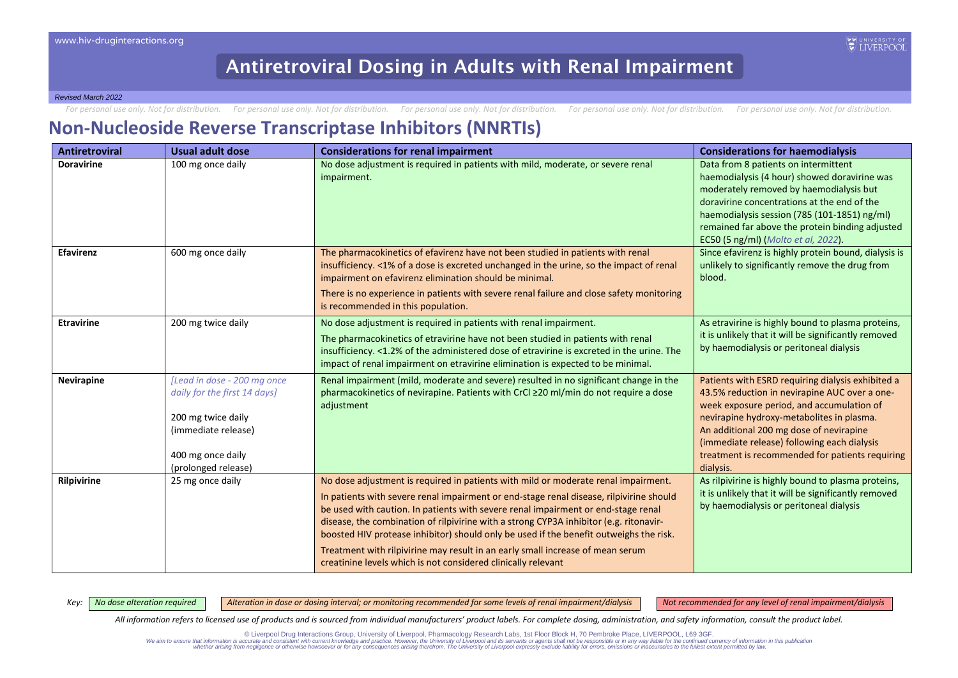*Revised March 2022*

For personal use only. Not for distribution. For personal use only. Not for distribution. For personal use only. Not for distribution. For personal use only. Not for distribution. For personal use only. Not for distributio

#### **Non-Nucleoside Reverse Transcriptase Inhibitors (NNRTIs)**

| <b>Antiretroviral</b> | <b>Usual adult dose</b>                                                                                                                              | <b>Considerations for renal impairment</b>                                                                                                                                                                                                                                                                                                                                                                                                                                                                                                                                                                | <b>Considerations for haemodialysis</b>                                                                                                                                                                                                                                                                                                                |
|-----------------------|------------------------------------------------------------------------------------------------------------------------------------------------------|-----------------------------------------------------------------------------------------------------------------------------------------------------------------------------------------------------------------------------------------------------------------------------------------------------------------------------------------------------------------------------------------------------------------------------------------------------------------------------------------------------------------------------------------------------------------------------------------------------------|--------------------------------------------------------------------------------------------------------------------------------------------------------------------------------------------------------------------------------------------------------------------------------------------------------------------------------------------------------|
| <b>Doravirine</b>     | 100 mg once daily                                                                                                                                    | No dose adjustment is required in patients with mild, moderate, or severe renal<br>impairment.                                                                                                                                                                                                                                                                                                                                                                                                                                                                                                            | Data from 8 patients on intermittent<br>haemodialysis (4 hour) showed doravirine was<br>moderately removed by haemodialysis but<br>doravirine concentrations at the end of the<br>haemodialysis session (785 (101-1851) ng/ml)<br>remained far above the protein binding adjusted<br>EC50 (5 ng/ml) (Molto et al, 2022).                               |
| <b>Efavirenz</b>      | 600 mg once daily                                                                                                                                    | The pharmacokinetics of efavirenz have not been studied in patients with renal<br>insufficiency. <1% of a dose is excreted unchanged in the urine, so the impact of renal<br>impairment on efavirenz elimination should be minimal.<br>There is no experience in patients with severe renal failure and close safety monitoring<br>is recommended in this population.                                                                                                                                                                                                                                     | Since efavirenz is highly protein bound, dialysis is<br>unlikely to significantly remove the drug from<br>blood.                                                                                                                                                                                                                                       |
| <b>Etravirine</b>     | 200 mg twice daily                                                                                                                                   | No dose adjustment is required in patients with renal impairment.<br>The pharmacokinetics of etravirine have not been studied in patients with renal<br>insufficiency. <1.2% of the administered dose of etravirine is excreted in the urine. The<br>impact of renal impairment on etravirine elimination is expected to be minimal.                                                                                                                                                                                                                                                                      | As etravirine is highly bound to plasma proteins,<br>it is unlikely that it will be significantly removed<br>by haemodialysis or peritoneal dialysis                                                                                                                                                                                                   |
| <b>Nevirapine</b>     | [Lead in dose - 200 mg once<br>daily for the first 14 days]<br>200 mg twice daily<br>(immediate release)<br>400 mg once daily<br>(prolonged release) | Renal impairment (mild, moderate and severe) resulted in no significant change in the<br>pharmacokinetics of nevirapine. Patients with CrCl ≥20 ml/min do not require a dose<br>adjustment                                                                                                                                                                                                                                                                                                                                                                                                                | Patients with ESRD requiring dialysis exhibited a<br>43.5% reduction in nevirapine AUC over a one-<br>week exposure period, and accumulation of<br>nevirapine hydroxy-metabolites in plasma.<br>An additional 200 mg dose of nevirapine<br>(immediate release) following each dialysis<br>treatment is recommended for patients requiring<br>dialysis. |
| Rilpivirine           | 25 mg once daily                                                                                                                                     | No dose adjustment is required in patients with mild or moderate renal impairment.<br>In patients with severe renal impairment or end-stage renal disease, rilpivirine should<br>be used with caution. In patients with severe renal impairment or end-stage renal<br>disease, the combination of rilpivirine with a strong CYP3A inhibitor (e.g. ritonavir-<br>boosted HIV protease inhibitor) should only be used if the benefit outweighs the risk.<br>Treatment with rilpivirine may result in an early small increase of mean serum<br>creatinine levels which is not considered clinically relevant | As rilpivirine is highly bound to plasma proteins,<br>it is unlikely that it will be significantly removed<br>by haemodialysis or peritoneal dialysis                                                                                                                                                                                                  |

Key: | No dose alteration required | Alteration in dose or dosing interval; or monitoring recommended for some levels of renal impairment/dialysis | Not recommended for any level of renal impairment/dialysis

*All information refers to licensed use of products and is sourced from individual manufacturers' product labels. For complete dosing, administration, and safety information, consult the product label.*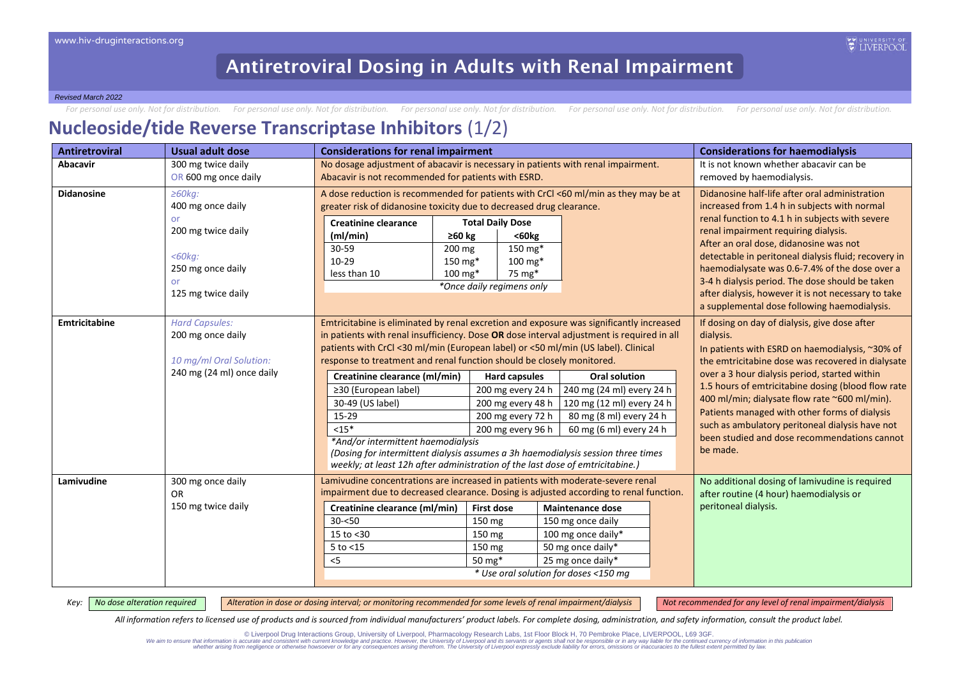For personal use only. Not for distribution. For personal use only. Not for distribution. For personal use only. Not for distribution. For personal use only. Not for distribution. For personal use only. Not for distributio

### **Nucleoside/tide Reverse Transcriptase Inhibitors** (1/2)

| <b>Antiretroviral</b> | <b>Usual adult dose</b>   | <b>Considerations for renal impairment</b>                                                                                                                        |                                 |                                                                                         | <b>Considerations for haemodialysis</b>                                                                |
|-----------------------|---------------------------|-------------------------------------------------------------------------------------------------------------------------------------------------------------------|---------------------------------|-----------------------------------------------------------------------------------------|--------------------------------------------------------------------------------------------------------|
| <b>Abacavir</b>       | 300 mg twice daily        | No dosage adjustment of abacavir is necessary in patients with renal impairment.                                                                                  |                                 |                                                                                         | It is not known whether abacavir can be                                                                |
|                       | OR 600 mg once daily      | Abacavir is not recommended for patients with ESRD.                                                                                                               |                                 |                                                                                         | removed by haemodialysis.                                                                              |
| <b>Didanosine</b>     | $\geq 60$ kg:             |                                                                                                                                                                   |                                 | A dose reduction is recommended for patients with CrCl <60 ml/min as they may be at     | Didanosine half-life after oral administration                                                         |
|                       | 400 mg once daily         | greater risk of didanosine toxicity due to decreased drug clearance.                                                                                              |                                 |                                                                                         | increased from 1.4 h in subjects with normal                                                           |
|                       | or                        | <b>Creatinine clearance</b>                                                                                                                                       | <b>Total Daily Dose</b>         |                                                                                         | renal function to 4.1 h in subjects with severe                                                        |
|                       | 200 mg twice daily        | (ml/min)                                                                                                                                                          | $60kg$<br>≥60 $kg$              |                                                                                         | renal impairment requiring dialysis.                                                                   |
|                       |                           | 30-59                                                                                                                                                             | $150 \text{ mg*}$<br>200 mg     |                                                                                         | After an oral dose, didanosine was not                                                                 |
|                       | $<$ 60 $kg$ :             | 10-29                                                                                                                                                             | 150 mg*<br>$100 \,\mathrm{mg*}$ |                                                                                         | detectable in peritoneal dialysis fluid; recovery in                                                   |
|                       | 250 mg once daily         | less than 10                                                                                                                                                      | 75 mg*<br>$100 \text{ mg*}$     |                                                                                         | haemodialysate was 0.6-7.4% of the dose over a                                                         |
|                       | or                        |                                                                                                                                                                   | *Once daily regimens only       |                                                                                         | 3-4 h dialysis period. The dose should be taken<br>after dialysis, however it is not necessary to take |
|                       | 125 mg twice daily        |                                                                                                                                                                   |                                 |                                                                                         | a supplemental dose following haemodialysis.                                                           |
| Emtricitabine         | <b>Hard Capsules:</b>     |                                                                                                                                                                   |                                 | Emtricitabine is eliminated by renal excretion and exposure was significantly increased | If dosing on day of dialysis, give dose after                                                          |
|                       | 200 mg once daily         | in patients with renal insufficiency. Dose OR dose interval adjustment is required in all                                                                         | dialysis.                       |                                                                                         |                                                                                                        |
|                       |                           | patients with CrCl <30 ml/min (European label) or <50 ml/min (US label). Clinical                                                                                 |                                 | In patients with ESRD on haemodialysis, ~30% of                                         |                                                                                                        |
|                       | 10 mg/ml Oral Solution:   | response to treatment and renal function should be closely monitored.                                                                                             |                                 |                                                                                         | the emtricitabine dose was recovered in dialysate                                                      |
|                       | 240 mg (24 ml) once daily | Creatinine clearance (ml/min)                                                                                                                                     | <b>Hard capsules</b>            | <b>Oral solution</b>                                                                    | over a 3 hour dialysis period, started within                                                          |
|                       |                           | ≥30 (European label)                                                                                                                                              | 200 mg every 24 h               | 240 mg (24 ml) every 24 h                                                               | 1.5 hours of emtricitabine dosing (blood flow rate                                                     |
|                       |                           | 30-49 (US label)                                                                                                                                                  | 200 mg every 48 h               | 120 mg (12 ml) every 24 h                                                               | 400 ml/min; dialysate flow rate ~600 ml/min).                                                          |
|                       |                           | 15-29                                                                                                                                                             | 200 mg every 72 h               | 80 mg (8 ml) every 24 h                                                                 | Patients managed with other forms of dialysis                                                          |
|                       |                           | $<15*$                                                                                                                                                            | 200 mg every 96 h               | 60 mg (6 ml) every 24 h                                                                 | such as ambulatory peritoneal dialysis have not<br>been studied and dose recommendations cannot        |
|                       |                           | *And/or intermittent haemodialysis                                                                                                                                |                                 |                                                                                         |                                                                                                        |
|                       |                           | (Dosing for intermittent dialysis assumes a 3h haemodialysis session three times<br>weekly; at least 12h after administration of the last dose of emtricitabine.) |                                 |                                                                                         | be made.                                                                                               |
|                       |                           |                                                                                                                                                                   |                                 |                                                                                         |                                                                                                        |
| Lamivudine            | 300 mg once daily         | Lamivudine concentrations are increased in patients with moderate-severe renal                                                                                    |                                 |                                                                                         | No additional dosing of lamivudine is required                                                         |
|                       | OR.                       |                                                                                                                                                                   |                                 | impairment due to decreased clearance. Dosing is adjusted according to renal function.  | after routine (4 hour) haemodialysis or                                                                |
|                       | 150 mg twice daily        | Creatinine clearance (ml/min)                                                                                                                                     | <b>First dose</b>               | <b>Maintenance dose</b>                                                                 | peritoneal dialysis.                                                                                   |
|                       |                           | $30 - 50$                                                                                                                                                         | 150 mg                          | 150 mg once daily                                                                       |                                                                                                        |
|                       |                           | 15 to $<$ 30                                                                                                                                                      | $150 \text{ mg}$                | 100 mg once daily*                                                                      |                                                                                                        |
|                       |                           | $5$ to $<$ 15                                                                                                                                                     | 150 mg                          | 50 mg once daily*                                                                       |                                                                                                        |
|                       |                           | < 5                                                                                                                                                               | 50 mg*                          | 25 mg once daily*                                                                       |                                                                                                        |
|                       |                           |                                                                                                                                                                   |                                 | * Use oral solution for doses <150 mg                                                   |                                                                                                        |

Key: | No dose alteration required | Alteration in dose or dosing interval; or monitoring recommended for some levels of renal impairment/dialysis | Not recommended for any level of renal impairment/dialysis

*All information refers to licensed use of products and is sourced from individual manufacturers' product labels. For complete dosing, administration, and safety information, consult the product label.*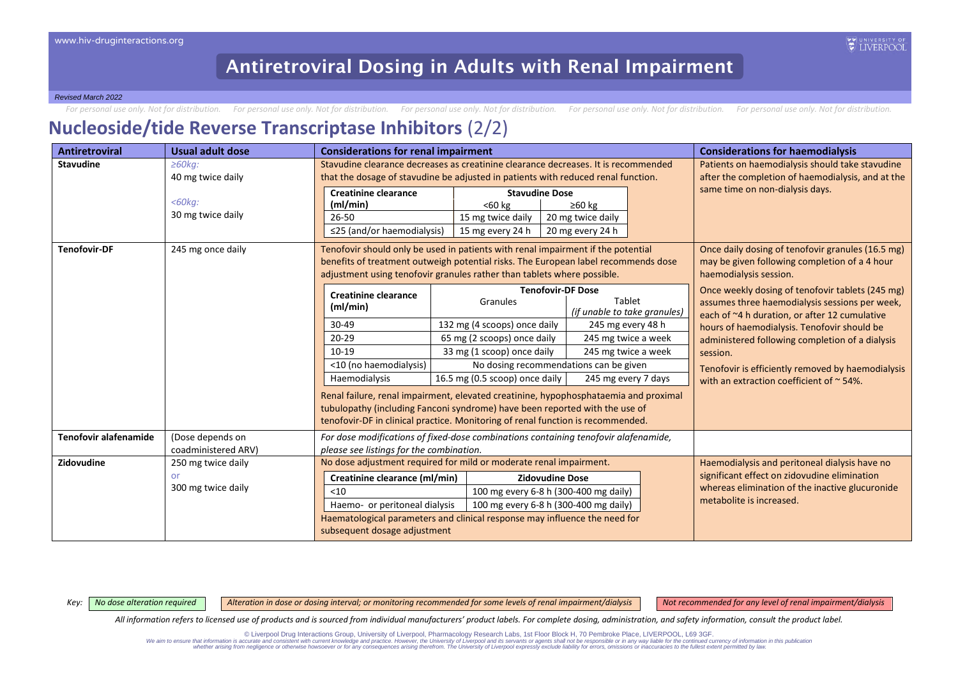For personal use only. Not for distribution. For personal use only. Not for distribution. For personal use only. Not for distribution. For personal use only. Not for distribution. For personal use only. Not for distributio

#### **Nucleoside/tide Reverse Transcriptase Inhibitors** (2/2)

| Antiretroviral               | <b>Usual adult dose</b>                                                                                                                                                                                                                                                | <b>Considerations for renal impairment</b>                                        |                                                                                                                                                                                                                                                        |                                                                                                                              | <b>Considerations for haemodialysis</b>                                                                                                             |
|------------------------------|------------------------------------------------------------------------------------------------------------------------------------------------------------------------------------------------------------------------------------------------------------------------|-----------------------------------------------------------------------------------|--------------------------------------------------------------------------------------------------------------------------------------------------------------------------------------------------------------------------------------------------------|------------------------------------------------------------------------------------------------------------------------------|-----------------------------------------------------------------------------------------------------------------------------------------------------|
| <b>Stavudine</b>             | $\geq 60$ kg:                                                                                                                                                                                                                                                          |                                                                                   | Stavudine clearance decreases as creatinine clearance decreases. It is recommended                                                                                                                                                                     |                                                                                                                              | Patients on haemodialysis should take stavudine                                                                                                     |
|                              | 40 mg twice daily                                                                                                                                                                                                                                                      | that the dosage of stavudine be adjusted in patients with reduced renal function. |                                                                                                                                                                                                                                                        |                                                                                                                              | after the completion of haemodialysis, and at the                                                                                                   |
|                              | $<$ 60 $kg$ :<br>30 mg twice daily                                                                                                                                                                                                                                     | <b>Creatinine clearance</b><br>(mI/min)<br>26-50<br>≤25 (and/or haemodialysis)    | <b>Stavudine Dose</b><br>$60 kg$<br>15 mg twice daily<br>15 mg every 24 h                                                                                                                                                                              | $\geq 60$ kg<br>20 mg twice daily<br>20 mg every 24 h                                                                        | same time on non-dialysis days.                                                                                                                     |
| <b>Tenofovir-DF</b>          | 245 mg once daily<br>Tenofovir should only be used in patients with renal impairment if the potential<br>benefits of treatment outweigh potential risks. The European label recommends dose<br>adjustment using tenofovir granules rather than tablets where possible. |                                                                                   |                                                                                                                                                                                                                                                        | Once daily dosing of tenofovir granules (16.5 mg)<br>may be given following completion of a 4 hour<br>haemodialysis session. |                                                                                                                                                     |
|                              |                                                                                                                                                                                                                                                                        | <b>Creatinine clearance</b><br>(ml/min)                                           | <b>Tenofovir-DF Dose</b><br>Granules                                                                                                                                                                                                                   | Tablet<br>(if unable to take granules)                                                                                       | Once weekly dosing of tenofovir tablets (245 mg)<br>assumes three haemodialysis sessions per week,<br>each of ~4 h duration, or after 12 cumulative |
|                              |                                                                                                                                                                                                                                                                        | $30 - 49$                                                                         | 132 mg (4 scoops) once daily                                                                                                                                                                                                                           | 245 mg every 48 h                                                                                                            | hours of haemodialysis. Tenofovir should be                                                                                                         |
|                              |                                                                                                                                                                                                                                                                        | $20 - 29$                                                                         | 65 mg (2 scoops) once daily                                                                                                                                                                                                                            | 245 mg twice a week                                                                                                          | administered following completion of a dialysis                                                                                                     |
|                              |                                                                                                                                                                                                                                                                        | $10-19$                                                                           | 33 mg (1 scoop) once daily                                                                                                                                                                                                                             | 245 mg twice a week                                                                                                          | session.                                                                                                                                            |
|                              |                                                                                                                                                                                                                                                                        | <10 (no haemodialysis)                                                            | No dosing recommendations can be given                                                                                                                                                                                                                 |                                                                                                                              | Tenofovir is efficiently removed by haemodialysis                                                                                                   |
|                              |                                                                                                                                                                                                                                                                        | <b>Haemodialysis</b>                                                              | 16.5 mg (0.5 scoop) once daily                                                                                                                                                                                                                         | 245 mg every 7 days                                                                                                          | with an extraction coefficient of $\approx$ 54%.                                                                                                    |
|                              |                                                                                                                                                                                                                                                                        |                                                                                   | Renal failure, renal impairment, elevated creatinine, hypophosphataemia and proximal<br>tubulopathy (including Fanconi syndrome) have been reported with the use of<br>tenofovir-DF in clinical practice. Monitoring of renal function is recommended. |                                                                                                                              |                                                                                                                                                     |
| <b>Tenofovir alafenamide</b> | (Dose depends on                                                                                                                                                                                                                                                       |                                                                                   | For dose modifications of fixed-dose combinations containing tenofovir alafenamide,                                                                                                                                                                    |                                                                                                                              |                                                                                                                                                     |
|                              | coadministered ARV)                                                                                                                                                                                                                                                    | please see listings for the combination.                                          |                                                                                                                                                                                                                                                        |                                                                                                                              |                                                                                                                                                     |
| Zidovudine                   | 250 mg twice daily                                                                                                                                                                                                                                                     | No dose adjustment required for mild or moderate renal impairment.                |                                                                                                                                                                                                                                                        |                                                                                                                              | Haemodialysis and peritoneal dialysis have no                                                                                                       |
|                              | or                                                                                                                                                                                                                                                                     | Creatinine clearance (ml/min)<br><b>Zidovudine Dose</b>                           |                                                                                                                                                                                                                                                        | significant effect on zidovudine elimination                                                                                 |                                                                                                                                                     |
|                              | 300 mg twice daily                                                                                                                                                                                                                                                     | 100 mg every 6-8 h (300-400 mg daily)<br>< 10                                     |                                                                                                                                                                                                                                                        | whereas elimination of the inactive glucuronide<br>metabolite is increased.                                                  |                                                                                                                                                     |
|                              |                                                                                                                                                                                                                                                                        | Haemo- or peritoneal dialysis<br>100 mg every 6-8 h (300-400 mg daily)            |                                                                                                                                                                                                                                                        |                                                                                                                              |                                                                                                                                                     |
|                              |                                                                                                                                                                                                                                                                        | subsequent dosage adjustment                                                      | Haematological parameters and clinical response may influence the need for                                                                                                                                                                             |                                                                                                                              |                                                                                                                                                     |

Key: | No dose alteration required | Alteration in dose or dosing interval; or monitoring recommended for some levels of renal impairment/dialysis | Not recommended for any level of renal impairment/dialysis

*All information refers to licensed use of products and is sourced from individual manufacturers' product labels. For complete dosing, administration, and safety information, consult the product label.*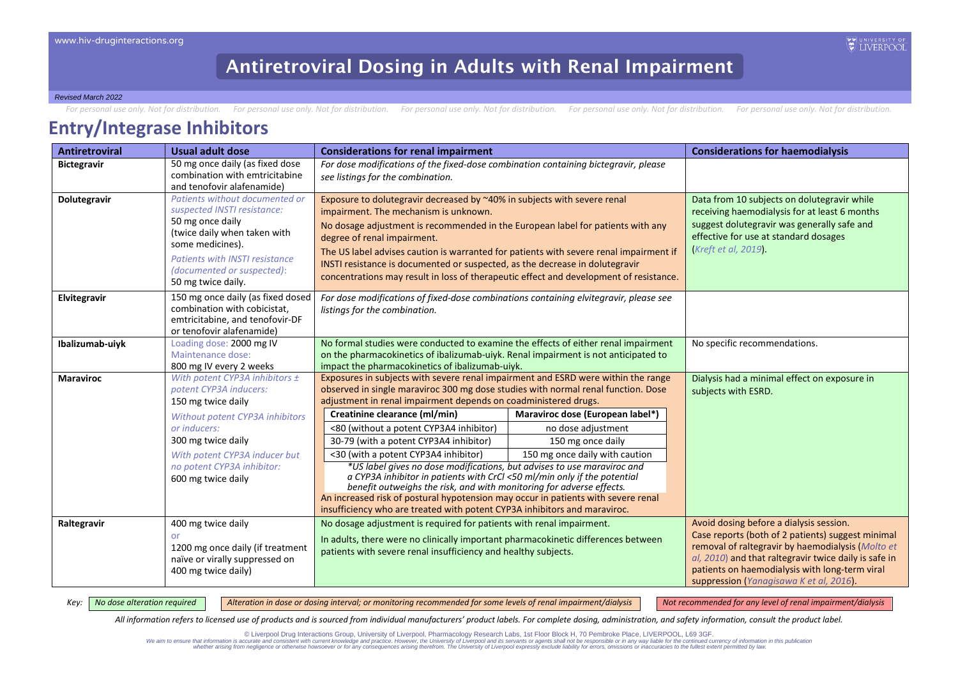*Revised March 2022*

For personal use only. Not for distribution. For personal use only. Not for distribution. For personal use only. Not for distribution. For personal use only. Not for distribution. For personal use only. Not for distributio

#### **Entry/Integrase Inhibitors**

| <b>Antiretroviral</b> | <b>Usual adult dose</b>                                                                                                                                                                                                            | <b>Considerations for renal impairment</b>                                                                                                                                                                                                                                                                                                                                                                                                                                                              |                                                                                                                                                                                                              | <b>Considerations for haemodialysis</b>                                                                                                                                                                                                                      |
|-----------------------|------------------------------------------------------------------------------------------------------------------------------------------------------------------------------------------------------------------------------------|---------------------------------------------------------------------------------------------------------------------------------------------------------------------------------------------------------------------------------------------------------------------------------------------------------------------------------------------------------------------------------------------------------------------------------------------------------------------------------------------------------|--------------------------------------------------------------------------------------------------------------------------------------------------------------------------------------------------------------|--------------------------------------------------------------------------------------------------------------------------------------------------------------------------------------------------------------------------------------------------------------|
| <b>Bictegravir</b>    | 50 mg once daily (as fixed dose<br>combination with emtricitabine                                                                                                                                                                  | For dose modifications of the fixed-dose combination containing bictegravir, please                                                                                                                                                                                                                                                                                                                                                                                                                     |                                                                                                                                                                                                              |                                                                                                                                                                                                                                                              |
|                       | and tenofovir alafenamide)                                                                                                                                                                                                         | see listings for the combination.                                                                                                                                                                                                                                                                                                                                                                                                                                                                       |                                                                                                                                                                                                              |                                                                                                                                                                                                                                                              |
| Dolutegravir          | Patients without documented or<br>suspected INSTI resistance:<br>50 mg once daily<br>(twice daily when taken with<br>some medicines).<br><b>Patients with INSTI resistance</b><br>(documented or suspected):<br>50 mg twice daily. | Exposure to dolutegravir decreased by ~40% in subjects with severe renal<br>impairment. The mechanism is unknown.<br>No dosage adjustment is recommended in the European label for patients with any<br>degree of renal impairment.<br>The US label advises caution is warranted for patients with severe renal impairment if<br>INSTI resistance is documented or suspected, as the decrease in dolutegravir<br>concentrations may result in loss of therapeutic effect and development of resistance. | Data from 10 subjects on dolutegravir while<br>receiving haemodialysis for at least 6 months<br>suggest dolutegravir was generally safe and<br>effective for use at standard dosages<br>(Kreft et al, 2019). |                                                                                                                                                                                                                                                              |
| Elvitegravir          | 150 mg once daily (as fixed dosed<br>combination with cobicistat,<br>emtricitabine, and tenofovir-DF<br>or tenofovir alafenamide)                                                                                                  | For dose modifications of fixed-dose combinations containing elvitegravir, please see<br>listings for the combination.                                                                                                                                                                                                                                                                                                                                                                                  |                                                                                                                                                                                                              |                                                                                                                                                                                                                                                              |
| Ibalizumab-uiyk       | Loading dose: 2000 mg IV                                                                                                                                                                                                           | No formal studies were conducted to examine the effects of either renal impairment                                                                                                                                                                                                                                                                                                                                                                                                                      | No specific recommendations.                                                                                                                                                                                 |                                                                                                                                                                                                                                                              |
|                       | Maintenance dose:<br>800 mg IV every 2 weeks                                                                                                                                                                                       | on the pharmacokinetics of ibalizumab-uiyk. Renal impairment is not anticipated to<br>impact the pharmacokinetics of ibalizumab-uiyk.                                                                                                                                                                                                                                                                                                                                                                   |                                                                                                                                                                                                              |                                                                                                                                                                                                                                                              |
| <b>Maraviroc</b>      | With potent CYP3A inhibitors ±                                                                                                                                                                                                     | Exposures in subjects with severe renal impairment and ESRD were within the range                                                                                                                                                                                                                                                                                                                                                                                                                       |                                                                                                                                                                                                              | Dialysis had a minimal effect on exposure in                                                                                                                                                                                                                 |
|                       | potent CYP3A inducers:                                                                                                                                                                                                             | observed in single maraviroc 300 mg dose studies with normal renal function. Dose                                                                                                                                                                                                                                                                                                                                                                                                                       |                                                                                                                                                                                                              | subjects with ESRD.                                                                                                                                                                                                                                          |
|                       | 150 mg twice daily                                                                                                                                                                                                                 | adjustment in renal impairment depends on coadministered drugs.                                                                                                                                                                                                                                                                                                                                                                                                                                         |                                                                                                                                                                                                              |                                                                                                                                                                                                                                                              |
|                       | Without potent CYP3A inhibitors                                                                                                                                                                                                    | Creatinine clearance (ml/min)                                                                                                                                                                                                                                                                                                                                                                                                                                                                           | Maraviroc dose (European label*)                                                                                                                                                                             |                                                                                                                                                                                                                                                              |
|                       | or inducers:                                                                                                                                                                                                                       | <80 (without a potent CYP3A4 inhibitor)                                                                                                                                                                                                                                                                                                                                                                                                                                                                 | no dose adjustment                                                                                                                                                                                           |                                                                                                                                                                                                                                                              |
|                       | 300 mg twice daily                                                                                                                                                                                                                 | 30-79 (with a potent CYP3A4 inhibitor)                                                                                                                                                                                                                                                                                                                                                                                                                                                                  | 150 mg once daily                                                                                                                                                                                            |                                                                                                                                                                                                                                                              |
|                       | With potent CYP3A inducer but                                                                                                                                                                                                      | <30 (with a potent CYP3A4 inhibitor)                                                                                                                                                                                                                                                                                                                                                                                                                                                                    | 150 mg once daily with caution                                                                                                                                                                               |                                                                                                                                                                                                                                                              |
|                       | no potent CYP3A inhibitor:<br>600 mg twice daily                                                                                                                                                                                   | *US label gives no dose modifications, but advises to use maraviroc and<br>a CYP3A inhibitor in patients with CrCl <50 ml/min only if the potential<br>benefit outweighs the risk, and with monitoring for adverse effects.<br>An increased risk of postural hypotension may occur in patients with severe renal<br>insufficiency who are treated with potent CYP3A inhibitors and maraviroc.                                                                                                           |                                                                                                                                                                                                              |                                                                                                                                                                                                                                                              |
| Raltegravir           | 400 mg twice daily                                                                                                                                                                                                                 | No dosage adjustment is required for patients with renal impairment.                                                                                                                                                                                                                                                                                                                                                                                                                                    |                                                                                                                                                                                                              | Avoid dosing before a dialysis session.                                                                                                                                                                                                                      |
|                       | or<br>1200 mg once daily (if treatment<br>naïve or virally suppressed on<br>400 mg twice daily)                                                                                                                                    | In adults, there were no clinically important pharmacokinetic differences between<br>patients with severe renal insufficiency and healthy subjects.                                                                                                                                                                                                                                                                                                                                                     |                                                                                                                                                                                                              | Case reports (both of 2 patients) suggest minimal<br>removal of raltegravir by haemodialysis (Molto et<br>al, 2010) and that raltegravir twice daily is safe in<br>patients on haemodialysis with long-term viral<br>suppression (Yanagisawa K et al, 2016). |

Key: | No dose alteration required | Alteration in dose or dosing interval; or monitoring recommended for some levels of renal impairment/dialysis | Not recommended for any level of renal impairment/dialysis

**EXPUNIVERSIT** 

*All information refers to licensed use of products and is sourced from individual manufacturers' product labels. For complete dosing, administration, and safety information, consult the product label.*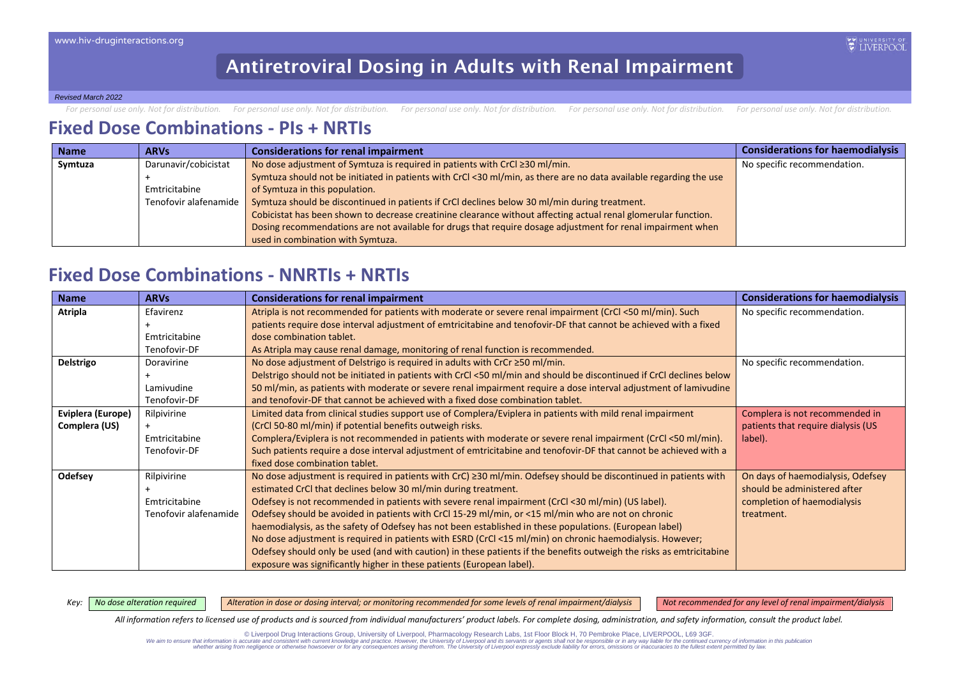*Revised March 2022*

For personal use only. Not for distribution. For personal use only. Not for distribution. For personal use only. Not for distribution. For personal use only. Not for distribution. For personal use only. Not for distributio

### **Fixed Dose Combinations - PIs + NRTIs**

| <b>Name</b> | <b>ARVs</b>           | <b>Considerations for renal impairment</b>                                                                         | <b>Considerations for haemodialysis</b> |
|-------------|-----------------------|--------------------------------------------------------------------------------------------------------------------|-----------------------------------------|
| Symtuza     | Darunavir/cobicistat  | No dose adjustment of Symtuza is required in patients with CrCl ≥30 ml/min.                                        | No specific recommendation.             |
|             |                       | Symtuza should not be initiated in patients with CrCl <30 ml/min, as there are no data available regarding the use |                                         |
|             | Emtricitabine         | of Symtuza in this population.                                                                                     |                                         |
|             | Tenofovir alafenamide | Symtuza should be discontinued in patients if CrCl declines below 30 ml/min during treatment.                      |                                         |
|             |                       | Cobicistat has been shown to decrease creatinine clearance without affecting actual renal glomerular function.     |                                         |
|             |                       | Dosing recommendations are not available for drugs that require dosage adjustment for renal impairment when        |                                         |
|             |                       | used in combination with Symtuza.                                                                                  |                                         |

#### **Fixed Dose Combinations - NNRTIs + NRTIs**

| <b>Name</b>       | <b>ARVs</b>           | <b>Considerations for renal impairment</b>                                                                            | <b>Considerations for haemodialysis</b> |
|-------------------|-----------------------|-----------------------------------------------------------------------------------------------------------------------|-----------------------------------------|
| Atripla           | Efavirenz             | Atripla is not recommended for patients with moderate or severe renal impairment (CrCl <50 ml/min). Such              | No specific recommendation.             |
|                   |                       | patients require dose interval adjustment of emtricitabine and tenofovir-DF that cannot be achieved with a fixed      |                                         |
|                   | Emtricitabine         | dose combination tablet.                                                                                              |                                         |
|                   | Tenofovir-DF          | As Atripla may cause renal damage, monitoring of renal function is recommended.                                       |                                         |
| Delstrigo         | Doravirine            | No dose adjustment of Delstrigo is required in adults with CrCr $\geq$ 50 ml/min.                                     | No specific recommendation.             |
|                   |                       | Delstrigo should not be initiated in patients with CrCl <50 ml/min and should be discontinued if CrCl declines below  |                                         |
|                   | Lamivudine            | 50 ml/min, as patients with moderate or severe renal impairment require a dose interval adjustment of lamivudine      |                                         |
|                   | Tenofovir-DF          | and tenofovir-DF that cannot be achieved with a fixed dose combination tablet.                                        |                                         |
| Eviplera (Europe) | Rilpivirine           | Limited data from clinical studies support use of Complera/Eviplera in patients with mild renal impairment            | Complera is not recommended in          |
| Complera (US)     |                       | (CrCl 50-80 ml/min) if potential benefits outweigh risks.                                                             | patients that require dialysis (US      |
|                   | Emtricitabine         | Complera/Eviplera is not recommended in patients with moderate or severe renal impairment (CrCl <50 ml/min).          | label).                                 |
|                   | Tenofovir-DF          | Such patients require a dose interval adjustment of emtricitabine and tenofovir-DF that cannot be achieved with a     |                                         |
|                   |                       | fixed dose combination tablet.                                                                                        |                                         |
| Odefsey           | Rilpivirine           | No dose adjustment is required in patients with $CrC \geq 30$ ml/min. Odefsey should be discontinued in patients with | On days of haemodialysis, Odefsey       |
|                   |                       | estimated CrCl that declines below 30 ml/min during treatment.                                                        | should be administered after            |
|                   | Emtricitabine         | Odefsey is not recommended in patients with severe renal impairment (CrCl <30 ml/min) (US label).                     | completion of haemodialysis             |
|                   | Tenofovir alafenamide | Odefsey should be avoided in patients with CrCl 15-29 ml/min, or <15 ml/min who are not on chronic                    | treatment.                              |
|                   |                       | haemodialysis, as the safety of Odefsey has not been established in these populations. (European label)               |                                         |
|                   |                       | No dose adjustment is required in patients with ESRD (CrCl <15 ml/min) on chronic haemodialysis. However;             |                                         |
|                   |                       | Odefsey should only be used (and with caution) in these patients if the benefits outweigh the risks as emtricitabine  |                                         |
|                   |                       | exposure was significantly higher in these patients (European label).                                                 |                                         |

Key: | No dose alteration required | Alteration in dose or dosing interval; or monitoring recommended for some levels of renal impairment/dialysis | Not recommended for any level of renal impairment/dialysis

*All information refers to licensed use of products and is sourced from individual manufacturers' product labels. For complete dosing, administration, and safety information, consult the product label.*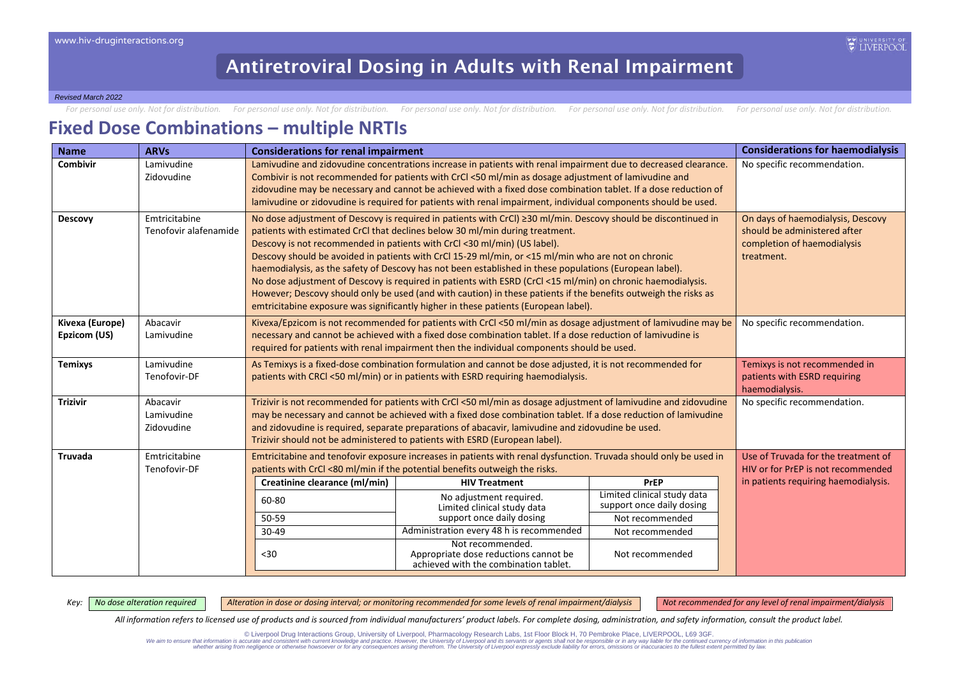*Revised March 2022*

For personal use only. Not for distribution. For personal use only. Not for distribution. For personal use only. Not for distribution. For personal use only. Not for distribution. For personal use only. Not for distributio

#### **Fixed Dose Combinations – multiple NRTIs**

| <b>Name</b>                     | <b>ARVs</b>                            | <b>Considerations for renal impairment</b>                                                                                                                                                                                                                                                                                                                                                                                                                                                                                                                                                                                                                                                                                                                                                                           |                                                                                                                                                                                                                                                                                                                            |                                                                                                                                  | <b>Considerations for haemodialysis</b> |  |  |
|---------------------------------|----------------------------------------|----------------------------------------------------------------------------------------------------------------------------------------------------------------------------------------------------------------------------------------------------------------------------------------------------------------------------------------------------------------------------------------------------------------------------------------------------------------------------------------------------------------------------------------------------------------------------------------------------------------------------------------------------------------------------------------------------------------------------------------------------------------------------------------------------------------------|----------------------------------------------------------------------------------------------------------------------------------------------------------------------------------------------------------------------------------------------------------------------------------------------------------------------------|----------------------------------------------------------------------------------------------------------------------------------|-----------------------------------------|--|--|
| Combivir                        | Lamivudine<br>Zidovudine               | Lamivudine and zidovudine concentrations increase in patients with renal impairment due to decreased clearance.<br>Combivir is not recommended for patients with CrCl <50 ml/min as dosage adjustment of lamivudine and<br>zidovudine may be necessary and cannot be achieved with a fixed dose combination tablet. If a dose reduction of<br>lamivudine or zidovudine is required for patients with renal impairment, individual components should be used.                                                                                                                                                                                                                                                                                                                                                         | No specific recommendation.                                                                                                                                                                                                                                                                                                |                                                                                                                                  |                                         |  |  |
| <b>Descovy</b>                  | Emtricitabine<br>Tenofovir alafenamide | No dose adjustment of Descovy is required in patients with CrCl) ≥30 ml/min. Descovy should be discontinued in<br>patients with estimated CrCI that declines below 30 ml/min during treatment.<br>Descovy is not recommended in patients with CrCl <30 ml/min) (US label).<br>Descovy should be avoided in patients with CrCl 15-29 ml/min, or <15 ml/min who are not on chronic<br>haemodialysis, as the safety of Descovy has not been established in these populations (European label).<br>No dose adjustment of Descovy is required in patients with ESRD (CrCl <15 ml/min) on chronic haemodialysis.<br>However; Descovy should only be used (and with caution) in these patients if the benefits outweigh the risks as<br>emtricitabine exposure was significantly higher in these patients (European label). | On days of haemodialysis, Descovy<br>should be administered after<br>completion of haemodialysis<br>treatment.                                                                                                                                                                                                             |                                                                                                                                  |                                         |  |  |
| Kivexa (Europe)<br>Epzicom (US) | Abacavir<br>Lamivudine                 |                                                                                                                                                                                                                                                                                                                                                                                                                                                                                                                                                                                                                                                                                                                                                                                                                      | Kivexa/Epzicom is not recommended for patients with CrCl <50 ml/min as dosage adjustment of lamivudine may be<br>necessary and cannot be achieved with a fixed dose combination tablet. If a dose reduction of lamivudine is<br>required for patients with renal impairment then the individual components should be used. |                                                                                                                                  | No specific recommendation.             |  |  |
| <b>Temixys</b>                  | Lamivudine<br>Tenofovir-DF             |                                                                                                                                                                                                                                                                                                                                                                                                                                                                                                                                                                                                                                                                                                                                                                                                                      | As Temixys is a fixed-dose combination formulation and cannot be dose adjusted, it is not recommended for<br>patients with CRCI <50 ml/min) or in patients with ESRD requiring haemodialysis.                                                                                                                              |                                                                                                                                  |                                         |  |  |
| <b>Trizivir</b>                 | Abacavir<br>Lamivudine<br>Zidovudine   | Trizivir is not recommended for patients with CrCl <50 ml/min as dosage adjustment of lamivudine and zidovudine<br>may be necessary and cannot be achieved with a fixed dose combination tablet. If a dose reduction of lamivudine<br>and zidovudine is required, separate preparations of abacavir, lamivudine and zidovudine be used.<br>Trizivir should not be administered to patients with ESRD (European label).                                                                                                                                                                                                                                                                                                                                                                                               | No specific recommendation.                                                                                                                                                                                                                                                                                                |                                                                                                                                  |                                         |  |  |
| <b>Truvada</b>                  | Emtricitabine<br>Tenofovir-DF          | Emtricitabine and tenofovir exposure increases in patients with renal dysfunction. Truvada should only be used in<br>patients with CrCl <80 ml/min if the potential benefits outweigh the risks.                                                                                                                                                                                                                                                                                                                                                                                                                                                                                                                                                                                                                     | Use of Truvada for the treatment of<br>HIV or for PrEP is not recommended                                                                                                                                                                                                                                                  |                                                                                                                                  |                                         |  |  |
|                                 |                                        | Creatinine clearance (ml/min)<br>60-80<br>50-59<br>$30 - 49$<br>$30$                                                                                                                                                                                                                                                                                                                                                                                                                                                                                                                                                                                                                                                                                                                                                 | <b>HIV Treatment</b><br>No adjustment required.<br>Limited clinical study data<br>support once daily dosing<br>Administration every 48 h is recommended<br>Not recommended.<br>Appropriate dose reductions cannot be<br>achieved with the combination tablet.                                                              | <b>PrEP</b><br>Limited clinical study data<br>support once daily dosing<br>Not recommended<br>Not recommended<br>Not recommended | in patients requiring haemodialysis.    |  |  |

Key: | No dose alteration required | Alteration in dose or dosing interval; or monitoring recommended for some levels of renal impairment/dialysis | Not recommended for any level of renal impairment/dialysis

*All information refers to licensed use of products and is sourced from individual manufacturers' product labels. For complete dosing, administration, and safety information, consult the product label.*